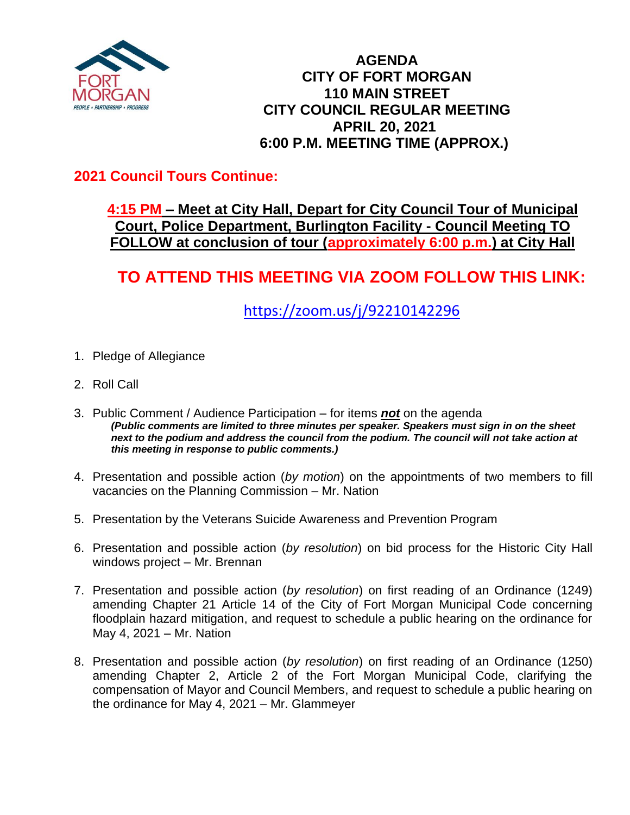

#### **AGENDA CITY OF FORT MORGAN 110 MAIN STREET CITY COUNCIL REGULAR MEETING APRIL 20, 2021 6:00 P.M. MEETING TIME (APPROX.)**

### **2021 Council Tours Continue:**

#### **4:15 PM – Meet at City Hall, Depart for City Council Tour of Municipal Court, Police Department, Burlington Facility - Council Meeting TO FOLLOW at conclusion of tour (approximately 6:00 p.m.) at City Hall**

# **TO ATTEND THIS MEETING VIA ZOOM FOLLOW THIS LINK:**

<https://zoom.us/j/92210142296>

- 1. Pledge of Allegiance
- 2. Roll Call
- 3. Public Comment / Audience Participation for items *not* on the agenda *(Public comments are limited to three minutes per speaker. Speakers must sign in on the sheet next to the podium and address the council from the podium. The council will not take action at this meeting in response to public comments.)*
- 4. Presentation and possible action (*by motion*) on the appointments of two members to fill vacancies on the Planning Commission – Mr. Nation
- 5. Presentation by the Veterans Suicide Awareness and Prevention Program
- 6. Presentation and possible action (*by resolution*) on bid process for the Historic City Hall windows project – Mr. Brennan
- 7. Presentation and possible action (*by resolution*) on first reading of an Ordinance (1249) amending Chapter 21 Article 14 of the City of Fort Morgan Municipal Code concerning floodplain hazard mitigation, and request to schedule a public hearing on the ordinance for May 4, 2021 – Mr. Nation
- 8. Presentation and possible action (*by resolution*) on first reading of an Ordinance (1250) amending Chapter 2, Article 2 of the Fort Morgan Municipal Code, clarifying the compensation of Mayor and Council Members, and request to schedule a public hearing on the ordinance for May 4, 2021 – Mr. Glammeyer